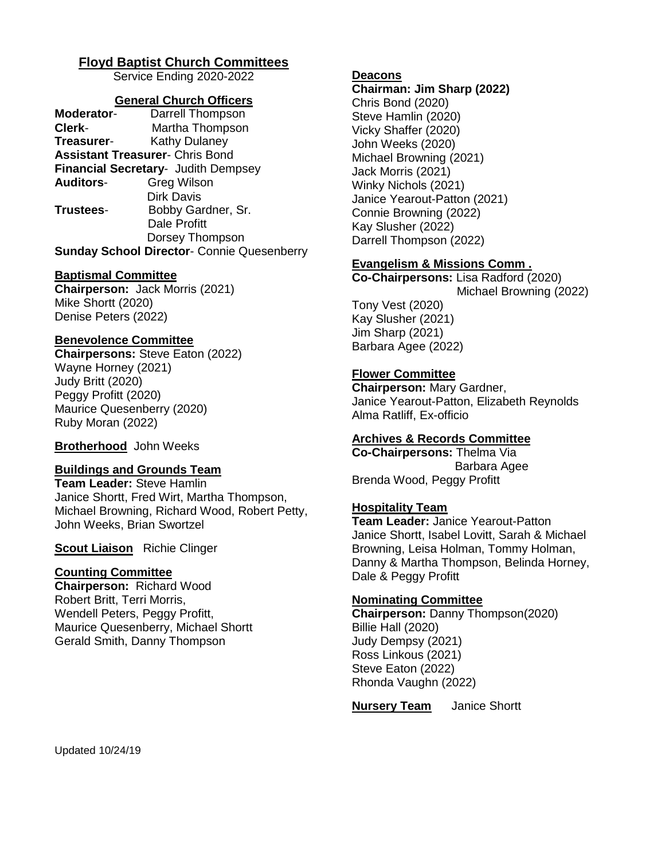# **Floyd Baptist Church Committees**

Service Ending 2020-2022

### **General Church Officers**

**Moderator**- Darrell Thompson **Clerk**-Martha Thompson **Treasurer-** Kathy Dulaney **Assistant Treasurer**- Chris Bond **Financial Secretary**- Judith Dempsey **Auditors**- Greg Wilson Dirk Davis **Trustees**- Bobby Gardner, Sr. Dale Profitt Dorsey Thompson **Sunday School Director**- Connie Quesenberry

### **Baptismal Committee**

**Chairperson:** Jack Morris (2021) Mike Shortt (2020) Denise Peters (2022)

### **Benevolence Committee**

**Chairpersons:** Steve Eaton (2022) Wayne Horney (2021) Judy Britt (2020) Peggy Profitt (2020) Maurice Quesenberry (2020) Ruby Moran (2022)

**Brotherhood** John Weeks

# **Buildings and Grounds Team**

**Team Leader:** Steve Hamlin Janice Shortt, Fred Wirt, Martha Thompson, Michael Browning, Richard Wood, Robert Petty, John Weeks, Brian Swortzel

# **Scout Liaison** Richie Clinger

### **Counting Committee**

**Chairperson:** Richard Wood Robert Britt, Terri Morris, Wendell Peters, Peggy Profitt, Maurice Quesenberry, Michael Shortt Gerald Smith, Danny Thompson

## **Deacons**

**Chairman: Jim Sharp (2022)** Chris Bond (2020) Steve Hamlin (2020) Vicky Shaffer (2020) John Weeks (2020) Michael Browning (2021) Jack Morris (2021) Winky Nichols (2021) Janice Yearout-Patton (2021) Connie Browning (2022) Kay Slusher (2022) Darrell Thompson (2022)

# **Evangelism & Missions Comm .**

**Co-Chairpersons:** Lisa Radford (2020) Michael Browning (2022) Tony Vest (2020) Kay Slusher (2021) Jim Sharp (2021) Barbara Agee (2022)

# **Flower Committee**

**Chairperson:** Mary Gardner, Janice Yearout-Patton, Elizabeth Reynolds Alma Ratliff, Ex-officio

# **Archives & Records Committee**

**Co-Chairpersons:** Thelma Via Barbara Agee Brenda Wood, Peggy Profitt

# **Hospitality Team**

**Team Leader:** Janice Yearout-Patton Janice Shortt, Isabel Lovitt, Sarah & Michael Browning, Leisa Holman, Tommy Holman, Danny & Martha Thompson, Belinda Horney, Dale & Peggy Profitt

### **Nominating Committee**

**Chairperson:** Danny Thompson(2020) Billie Hall (2020) Judy Dempsy (2021) Ross Linkous (2021) Steve Eaton (2022) Rhonda Vaughn (2022)

**Nursery Team** Janice Shortt